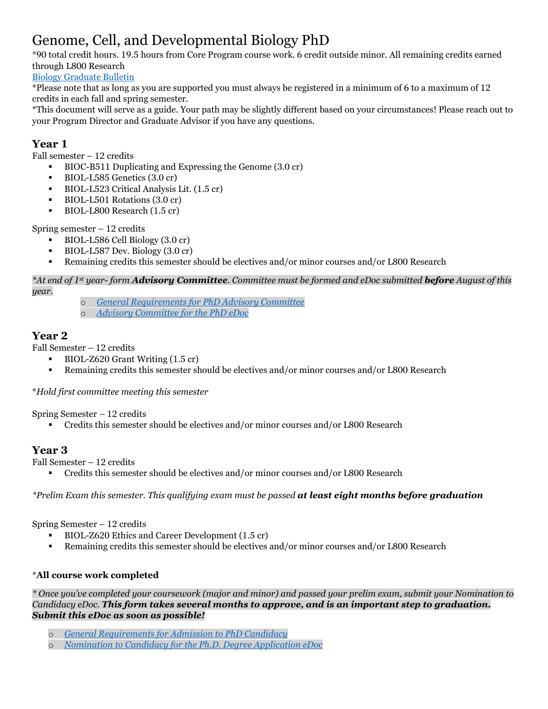# Genome, Cell, and Developmental Biology PhD

\*90 total credit hours. 19.5 hours from Core Program course work. 6 credit outside minor. All remaining credits earned through L800 Research

[Biology Graduate Bulletin](https://bulletins.iu.edu/iu/gradschool/2020-2021/programs/bloomington/biology/index.shtml)

\*Please note that as long as you are supported you must always be registered in a minimum of 6 to a maximum of 12 credits in each fall and spring semester.

\*This document will serve as a guide. Your path may be slightly different based on your circumstances! Please reach out to your Program Director and Graduate Advisor if you have any questions.

### **Year 1**

Fall semester – 12 credits

- BIOC-B511 Duplicating and Expressing the Genome (3.0 cr)
- BIOL-L585 Genetics (3.0 cr)
- BIOL-L523 Critical Analysis Lit. (1.5 cr)
- BIOL-L501 Rotations (3.0 cr)
- BIOL-L800 Research (1.5 cr)

Spring semester – 12 credits

- BIOL-L586 Cell Biology (3.0 cr)
- BIOL-L587 Dev. Biology (3.0 cr)
- Remaining credits this semester should be electives and/or minor courses and/or L800 Research

#### *\*At end of 1st year- form Advisory Committee. Committee must be formed and eDoc submitted before August of this year.*

- o *[General Requirements for PhD Advisory Committee](https://bulletins.iu.edu/iu/gradschool/2019-2020/requirements/phd/advisory.shtml)*
- o *[Advisory Committee for the PhD eDoc](https://apps.iu.edu/kr-prd/kew/EDocLite?edlName=COLLGRAD.AdvisoryCom.Doctype&userAction=initiate&_ga=2.133474254.1164482159.1602599434-441720957.1568642092)*

#### **Year 2**

Fall Semester – 12 credits

- BIOL-Z620 Grant Writing (1.5 cr)
- Remaining credits this semester should be electives and/or minor courses and/or L800 Research

\**Hold first committee meeting this semester*

Spring Semester – 12 credits

Credits this semester should be electives and/or minor courses and/or L800 Research

## **Year 3**

Fall Semester – 12 credits

Credits this semester should be electives and/or minor courses and/or L800 Research

*\*Prelim Exam this semester. This qualifying exam must be passed at least eight months before graduation*

Spring Semester – 12 credits

- BIOL-Z620 Ethics and Career Development (1.5 cr)
- Remaining credits this semester should be electives and/or minor courses and/or L800 Research

#### \***All course work completed**

*\* Once you've completed your coursework (major and minor) and passed your prelim exam, submit your Nomination to Candidacy eDoc. This form takes several months to approve, and is an important step to graduation. Submit this eDoc as soon as possible!*

- o *[General Requirements for Admission to PhD Candidacy](https://bulletins.iu.edu/iu/gradschool/2019-2020/requirements/phd/candidacy.shtml)*
- o *[Nomination to Candidacy for the Ph.D. Degree Application eDoc](https://apps.iu.edu/kr-prd/kew/EDocLite?edlName=UGS.Candidacy.Doctype&userAction=initiate)*